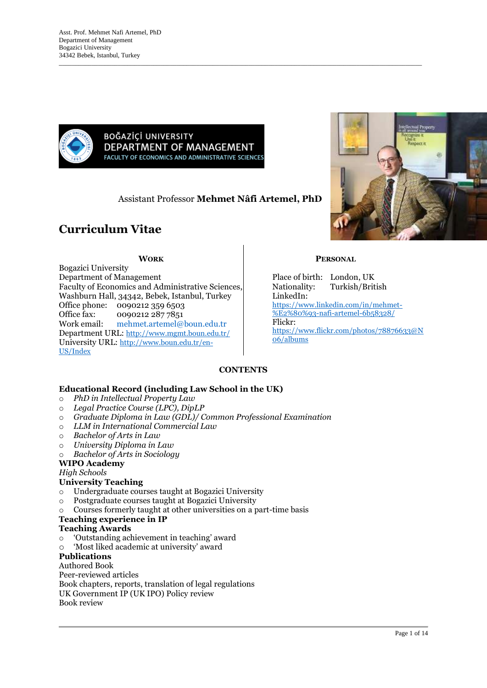

BOĞAZİÇİ UNIVERSITY DEPARTMENT OF MANAGEMENT **FACULTY OF ECONOMICS AND ADMINISTRATIVE SCIENCES** 

Assistant Professor **Mehmet Nâfi Artemel, PhD**

 $\_$  , and the set of the set of the set of the set of the set of the set of the set of the set of the set of the set of the set of the set of the set of the set of the set of the set of the set of the set of the set of th

# **Curriculum Vitae**

#### **WORK**

Bogazici University Department of Management Faculty of Economics and Administrative Sciences, Washburn Hall, 34342, Bebek, Istanbul, Turkey Office phone: 0090212 359 6503 Office fax: 0090212 287 7851 Work email: [mehmet.artemel@boun.edu.tr](mailto:mehmet.artemel@boun.edu.tr) Department URL: <http://www.mgmt.boun.edu.tr/> University URL: [http://www.boun.edu.tr/en-](http://www.boun.edu.tr/en-US/Index)[US/Index](http://www.boun.edu.tr/en-US/Index)



#### **PERSONAL**

Place of birth: London, UK Nationality: Turkish/British LinkedIn: [https://www.linkedin.com/in/mehmet-](https://www.linkedin.com/in/mehmet-%E2%80%93-nafi-artemel-6b58328/) [%E2%80%93-nafi-artemel-6b58328/](https://www.linkedin.com/in/mehmet-%E2%80%93-nafi-artemel-6b58328/) Flickr: [https://www.flickr.com/photos/78876633@N](https://www.flickr.com/photos/78876633@N06/albums) [06/albums](https://www.flickr.com/photos/78876633@N06/albums)

# **CONTENTS**

# **Educational Record (including Law School in the UK)**

- o *PhD in Intellectual Property Law*
- o *Legal Practice Course (LPC), DipLP*
- o *Graduate Diploma in Law (GDL)/ Common Professional Examination*
- o *LLM in International Commercial Law*
- o *Bachelor of Arts in Law*
- o *University Diploma in Law*
- o *Bachelor of Arts in Sociology*

# **WIPO Academy**

*High Schools*

# **University Teaching**

- o Undergraduate courses taught at Bogazici University
- o Postgraduate courses taught at Bogazici University
- o Courses formerly taught at other universities on a part-time basis

# **Teaching experience in IP**

#### **Teaching Awards**

- o 'Outstanding achievement in teaching' award
- o 'Most liked academic at university' award

# **Publications**

Authored Book Peer-reviewed articles Book chapters, reports, translation of legal regulations UK Government IP (UK IPO) Policy review Book review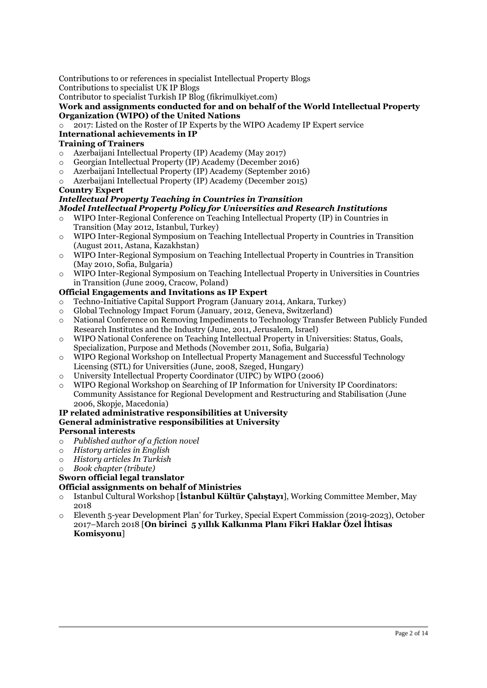Contributions to or references in specialist Intellectual Property Blogs

Contributions to specialist UK IP Blogs

Contributor to specialist Turkish IP Blog (fikrimulkiyet.com)

**Work and assignments conducted for and on behalf of the World Intellectual Property Organization (WIPO) of the United Nations**

o 2017: Listed on the Roster of IP Experts by the WIPO Academy IP Expert service

# **International achievements in IP**

# **Training of Trainers**

- o Azerbaijani Intellectual Property (IP) Academy (May 2017)
- o Georgian Intellectual Property (IP) Academy (December 2016)
- o Azerbaijani Intellectual Property (IP) Academy (September 2016)
- o Azerbaijani Intellectual Property (IP) Academy (December 2015)

#### **Country Expert**

# *Intellectual Property Teaching in Countries in Transition*

- *Model Intellectual Property Policy for Universities and Research Institutions* WIPO Inter-Regional Conference on Teaching Intellectual Property (IP) in Countries in
- Transition (May 2012, Istanbul, Turkey)
- o WIPO Inter-Regional Symposium on Teaching Intellectual Property in Countries in Transition (August 2011, Astana, Kazakhstan)
- o WIPO Inter-Regional Symposium on Teaching Intellectual Property in Countries in Transition (May 2010, Sofia, Bulgaria)
- o WIPO Inter-Regional Symposium on Teaching Intellectual Property in Universities in Countries in Transition (June 2009, Cracow, Poland)

# **Official Engagements and Invitations as IP Expert**

- o Techno-Initiative Capital Support Program (January 2014, Ankara, Turkey)<br>
o Global Technology Impact Forum (January, 2012, Geneva, Switzerland)
- 
- o Global Technology Impact Forum (January, 2012, Geneva, Switzerland) National Conference on Removing Impediments to Technology Transfer Between Publicly Funded Research Institutes and the Industry (June, 2011, Jerusalem, Israel)
- o WIPO National Conference on Teaching Intellectual Property in Universities: Status, Goals, Specialization, Purpose and Methods (November 2011, Sofia, Bulgaria)
- o WIPO Regional Workshop on Intellectual Property Management and Successful Technology Licensing (STL) for Universities (June, 2008, Szeged, Hungary)
- o University Intellectual Property Coordinator (UIPC) by WIPO (2006)
- o WIPO Regional Workshop on Searching of IP Information for University IP Coordinators: Community Assistance for Regional Development and Restructuring and Stabilisation (June 2006, Skopje, Macedonia)

#### **IP related administrative responsibilities at University General administrative responsibilities at University**

# **Personal interests**

- o *Published author of a fiction novel*
- o *History articles in English*
- o *History articles In Turkish*
- o *Book chapter (tribute)*

# **Sworn official legal translator**

# **Official assignments on behalf of Ministries**

- o Istanbul Cultural Workshop [**İstanbul Kültür Çalıştayı**], Working Committee Member, May 2018
- o Eleventh 5-year Development Plan' for Turkey, Special Expert Commission (2019-2023), October 2017–March 2018 [**On birinci 5 yıllık Kalkınma Planı Fikri Haklar Özel İhtisas Komisyonu**]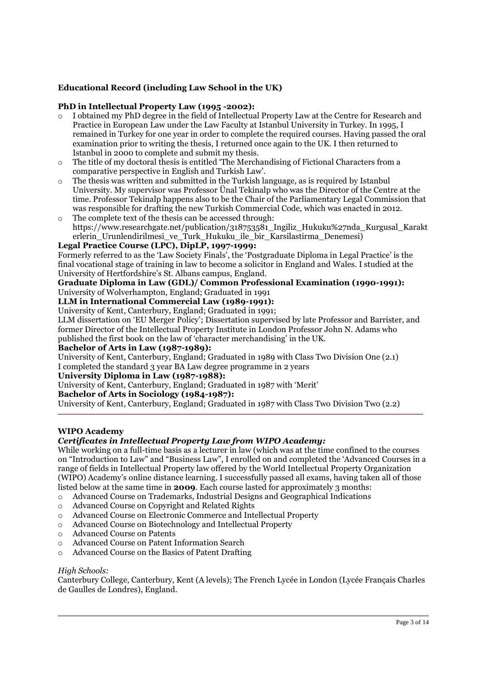#### **Educational Record (including Law School in the UK)**

#### **PhD in Intellectual Property Law (1995 -2002):**

- o I obtained my PhD degree in the field of Intellectual Property Law at the Centre for Research and Practice in European Law under the Law Faculty at Istanbul University in Turkey. In 1995, I remained in Turkey for one year in order to complete the required courses. Having passed the oral examination prior to writing the thesis, I returned once again to the UK. I then returned to Istanbul in 2000 to complete and submit my thesis.
- The title of my doctoral thesis is entitled 'The Merchandising of Fictional Characters from a comparative perspective in English and Turkish Law'.
- $\circ$  The thesis was written and submitted in the Turkish language, as is required by Istanbul University. My supervisor was Professor Ünal Tekinalp who was the Director of the Centre at the time. Professor Tekinalp happens also to be the Chair of the Parliamentary Legal Commission that was responsible for drafting the new Turkish Commercial Code, which was enacted in 2012.
- o The complete text of the thesis can be accessed through: https://www.researchgate.net/publication/318753581\_Ingiliz\_Hukuku%27nda\_Kurgusal\_Karakt erlerin\_Urunlendirilmesi\_ve\_Turk\_Hukuku\_ile\_bir\_Karsilastirma\_Denemesi)

# **Legal Practice Course (LPC), DipLP, 1997-1999:**

Formerly referred to as the 'Law Society Finals', the 'Postgraduate Diploma in Legal Practice' is the final vocational stage of training in law to become a solicitor in England and Wales. I studied at the University of Hertfordshire's St. Albans campus, England.

#### **Graduate Diploma in Law (GDL)/ Common Professional Examination (1990-1991):**  University of Wolverhampton, England; Graduated in 1991

# **LLM in International Commercial Law (1989-1991):**

University of Kent, Canterbury, England; Graduated in 1991;

LLM dissertation on 'EU Merger Policy'; Dissertation supervised by late Professor and Barrister, and former Director of the Intellectual Property Institute in London Professor John N. Adams who published the first book on the law of 'character merchandising' in the UK.

#### **Bachelor of Arts in Law (1987-1989):**

University of Kent, Canterbury, England; Graduated in 1989 with Class Two Division One (2.1) I completed the standard 3 year BA Law degree programme in 2 years

#### **University Diploma in Law (1987-1988):**

University of Kent, Canterbury, England; Graduated in 1987 with 'Merit'

#### **Bachelor of Arts in Sociology (1984-1987):**

University of Kent, Canterbury, England; Graduated in 1987 with Class Two Division Two (2.2)

#### **WIPO Academy**

#### *Certificates in Intellectual Property Law from WIPO Academy:*

While working on a full-time basis as a lecturer in law (which was at the time confined to the courses on "Introduction to Law" and "Business Law", I enrolled on and completed the 'Advanced Courses in a range of fields in Intellectual Property law offered by the World Intellectual Property Organization (WIPO) Academy's online distance learning. I successfully passed all exams, having taken all of those listed below at the same time in **2009**. Each course lasted for approximately 3 months:

- o Advanced Course on Trademarks, Industrial Designs and Geographical Indications
- o Advanced Course on Copyright and Related Rights
- o Advanced Course on Electronic Commerce and Intellectual Property
- o Advanced Course on Biotechnology and Intellectual Property
- o Advanced Course on Patents
- o Advanced Course on Patent Information Search
- o Advanced Course on the Basics of Patent Drafting

#### *High Schools:*

Canterbury College, Canterbury, Kent (A levels); The French Lycée in London (Lycée Français Charles de Gaulles de Londres), England.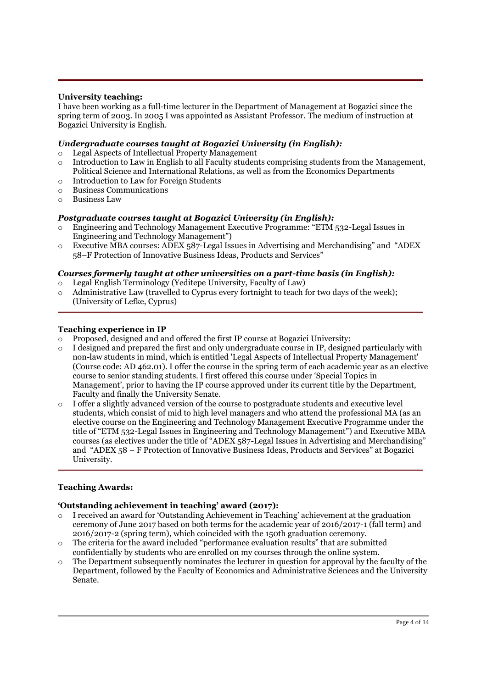#### **University teaching:**

I have been working as a full-time lecturer in the Department of Management at Bogazici since the spring term of 2003. In 2005 I was appointed as Assistant Professor. The medium of instruction at Bogazici University is English.

#### *Undergraduate courses taught at Bogazici University (in English):*

- o Legal Aspects of Intellectual Property Management
- $\circ$  Introduction to Law in English to all Faculty students comprising students from the Management, Political Science and International Relations, as well as from the Economics Departments
- o Introduction to Law for Foreign Students
- o Business Communications
- o Business Law

#### *Postgraduate courses taught at Bogazici University (in English):*

- o Engineering and Technology Management Executive Programme: "ETM 532-Legal Issues in Engineering and Technology Management")
- o Executive MBA courses: ADEX 587-Legal Issues in Advertising and Merchandising" and "ADEX 58–F Protection of Innovative Business Ideas, Products and Services"

#### *Courses formerly taught at other universities on a part-time basis (in English):*

- o Legal English Terminology (Yeditepe University, Faculty of Law)
- $\circ$  Administrative Law (travelled to Cyprus every fortnight to teach for two days of the week); (University of Lefke, Cyprus)

#### **Teaching experience in IP**

- $\circ$  Proposed, designed and and offered the first IP course at Bogazici University:
- o I designed and prepared the first and only undergraduate course in IP, designed particularly with non-law students in mind, which is entitled 'Legal Aspects of Intellectual Property Management' (Course code: AD 462.01). I offer the course in the spring term of each academic year as an elective course to senior standing students. I first offered this course under 'Special Topics in Management', prior to having the IP course approved under its current title by the Department, Faculty and finally the University Senate.
- $\circ$  I offer a slightly advanced version of the course to postgraduate students and executive level students, which consist of mid to high level managers and who attend the professional MA (as an elective course on the Engineering and Technology Management Executive Programme under the title of "ETM 532-Legal Issues in Engineering and Technology Management") and Executive MBA courses (as electives under the title of "ADEX 587-Legal Issues in Advertising and Merchandising" and "ADEX 58 – F Protection of Innovative Business Ideas, Products and Services" at Bogazici University.

#### **Teaching Awards:**

#### **'Outstanding achievement in teaching' award (2017):**

- o I received an award for 'Outstanding Achievement in Teaching' achievement at the graduation ceremony of June 2017 based on both terms for the academic year of 2016/2017-1 (fall term) and 2016/2017-2 (spring term), which coincided with the 150th graduation ceremony.
- o The criteria for the award included "performance evaluation results" that are submitted confidentially by students who are enrolled on my courses through the online system.
- $\circ$  The Department subsequently nominates the lecturer in question for approval by the faculty of the Department, followed by the Faculty of Economics and Administrative Sciences and the University Senate.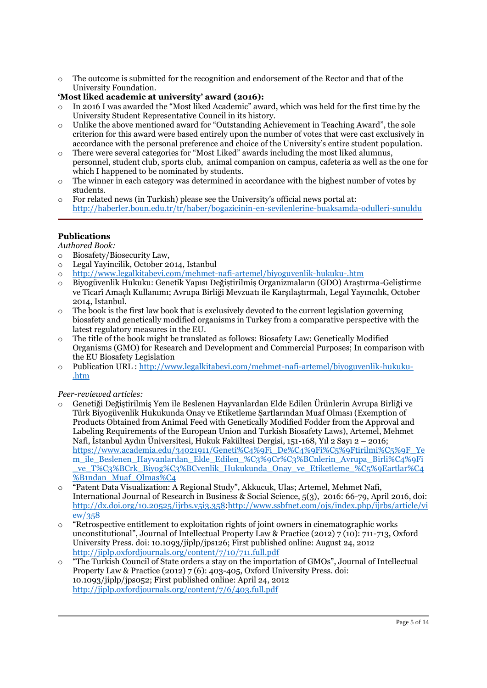$\circ$  The outcome is submitted for the recognition and endorsement of the Rector and that of the University Foundation.

#### **'Most liked academic at university' award (2016):**

- o In 2016 I was awarded the "Most liked Academic" award, which was held for the first time by the University Student Representative Council in its history.
- $\circ$  Unlike the above mentioned award for "Outstanding Achievement in Teaching Award", the sole criterion for this award were based entirely upon the number of votes that were cast exclusively in accordance with the personal preference and choice of the University's entire student population.
- There were several categories for "Most Liked" awards including the most liked alumnus, personnel, student club, sports club, animal companion on campus, cafeteria as well as the one for which I happened to be nominated by students.
- $\circ$  The winner in each category was determined in accordance with the highest number of votes by students.
- $\circ$  For related news (in Turkish) please see the University's official news portal at: <http://haberler.boun.edu.tr/tr/haber/bogazicinin-en-sevilenlerine-buaksamda-odulleri-sunuldu>

# **Publications**

*Authored Book:*

- o Biosafety/Biosecurity Law,
- o Legal Yayincilik, October 2014, Istanbul
- o <http://www.legalkitabevi.com/mehmet-nafi-artemel/biyoguvenlik-hukuku-.htm>
- o Biyogüvenlik Hukuku: Genetik Yapısı Değiştirilmiş Organizmaların (GDO) Araştırma-Geliştirme ve Ticarî Amaçlı Kullanımı; Avrupa Birliği Mevzuatı ile Karşılaştırmalı, Legal Yayıncılık, October 2014, Istanbul.
- $\circ$  The book is the first law book that is exclusively devoted to the current legislation governing biosafety and genetically modified organisms in Turkey from a comparative perspective with the latest regulatory measures in the EU.
- o The title of the book might be translated as follows: Biosafety Law: Genetically Modified Organisms (GMO) for Research and Development and Commercial Purposes; In comparison with the EU Biosafety Legislation
- o Publication URL : [http://www.legalkitabevi.com/mehmet-nafi-artemel/biyoguvenlik-hukuku-](http://www.legalkitabevi.com/mehmet-nafi-artemel/biyoguvenlik-hukuku-.htm) [.htm](http://www.legalkitabevi.com/mehmet-nafi-artemel/biyoguvenlik-hukuku-.htm)

*Peer-reviewed articles:*

- o Genetiği Değiştirilmiş Yem ile Beslenen Hayvanlardan Elde Edilen Ürünlerin Avrupa Birliği ve Türk Biyogüvenlik Hukukunda Onay ve Etiketleme Şartlarından Muaf Olması (Exemption of Products Obtained from Animal Feed with Genetically Modified Fodder from the Approval and Labeling Requirements of the European Union and Turkish Biosafety Laws), Artemel, Mehmet Nafi, İstanbul Aydın Üniversitesi, Hukuk Fakültesi Dergisi, 151-168, Yıl 2 Sayı 2 – 2016; [https://www.academia.edu/34021911/Geneti%C4%9Fi\\_De%C4%9Fi%C5%9Ftirilmi%C5%9F\\_Ye](https://www.academia.edu/34021911/Geneti%C4%9Fi_De%C4%9Fi%C5%9Ftirilmi%C5%9F_Yem_ile_Beslenen_Hayvanlardan_Elde_Edilen_%C3%9Cr%C3%BCnlerin_Avrupa_Birli%C4%9Fi_ve_T%C3%BCrk_Biyog%C3%BCvenlik_Hukukunda_Onay_ve_Etiketleme_%C5%9Eartlar%C4%B1ndan_Muaf_Olmas%C4) [m\\_ile\\_Beslenen\\_Hayvanlardan\\_Elde\\_Edilen\\_%C3%9Cr%C3%BCnlerin\\_Avrupa\\_Birli%C4%9Fi](https://www.academia.edu/34021911/Geneti%C4%9Fi_De%C4%9Fi%C5%9Ftirilmi%C5%9F_Yem_ile_Beslenen_Hayvanlardan_Elde_Edilen_%C3%9Cr%C3%BCnlerin_Avrupa_Birli%C4%9Fi_ve_T%C3%BCrk_Biyog%C3%BCvenlik_Hukukunda_Onay_ve_Etiketleme_%C5%9Eartlar%C4%B1ndan_Muaf_Olmas%C4) ve\_T%C3%BCrk\_Biyog%C3%BCvenlik\_Hukukunda\_Onay\_ve\_Etiketleme\_%C5%9Eartlar%C4 [%B1ndan\\_Muaf\\_Olmas%C4](https://www.academia.edu/34021911/Geneti%C4%9Fi_De%C4%9Fi%C5%9Ftirilmi%C5%9F_Yem_ile_Beslenen_Hayvanlardan_Elde_Edilen_%C3%9Cr%C3%BCnlerin_Avrupa_Birli%C4%9Fi_ve_T%C3%BCrk_Biyog%C3%BCvenlik_Hukukunda_Onay_ve_Etiketleme_%C5%9Eartlar%C4%B1ndan_Muaf_Olmas%C4)
- o "Patent Data Visualization: A Regional Study", Akkucuk, Ulas; Artemel, Mehmet Nafi, International Journal of Research in Business & Social Science, 5(3), 2016: 66-79, April 2016, doi: [http://dx.doi.org/10.20525/ijrbs.v5i3.358:](http://dx.doi.org/10.20525/ijrbs.v5i3.358)[http://www.ssbfnet.com/ojs/index.php/ijrbs/article/vi](http://www.ssbfnet.com/ojs/index.php/ijrbs/article/view/358) [ew/358](http://www.ssbfnet.com/ojs/index.php/ijrbs/article/view/358)
- $\circ$  "Retrospective entitlement to exploitation rights of joint owners in cinematographic works unconstitutional", Journal of Intellectual Property Law & Practice (2012) 7 (10): 711-713, Oxford University Press. doi: 10.1093/jiplp/jps126; First published online: August 24, 2012 <http://jiplp.oxfordjournals.org/content/7/10/711.full.pdf>
- "The Turkish Council of State orders a stay on the importation of GMOs", Journal of Intellectual Property Law & Practice (2012) 7 (6): 403-405, Oxford University Press. doi: 10.1093/jiplp/jps052; First published online: April 24, 2012 <http://jiplp.oxfordjournals.org/content/7/6/403.full.pdf>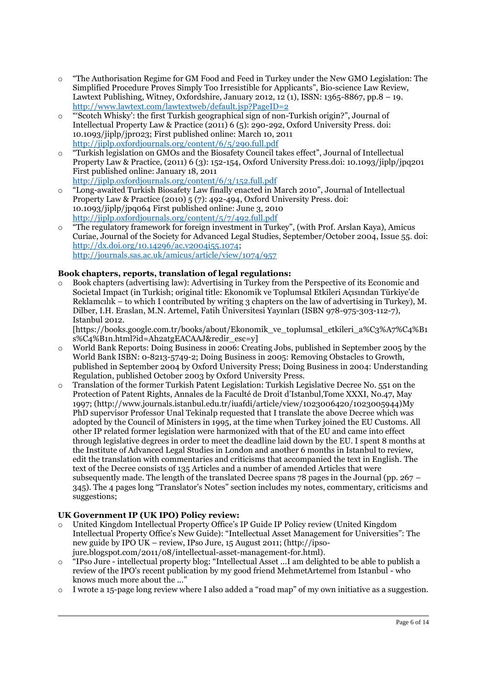- o "The Authorisation Regime for GM Food and Feed in Turkey under the New GMO Legislation: The Simplified Procedure Proves Simply Too Irresistible for Applicants", Bio-science Law Review, Lawtext Publishing, Witney, Oxfordshire, January 2012, 12 (1), ISSN: 1365-8867, pp.8 – 19. <http://www.lawtext.com/lawtextweb/default.jsp?PageID=2>
- "Scotch Whisky': the first Turkish geographical sign of non-Turkish origin?", Journal of Intellectual Property Law & Practice (2011) 6 (5): 290-292, Oxford University Press. doi: 10.1093/jiplp/jpr023; First published online: March 10, 2011 <http://jiplp.oxfordjournals.org/content/6/5/290.full.pdf>
- "Turkish legislation on GMOs and the Biosafety Council takes effect", Journal of Intellectual Property Law & Practice, (2011) 6 (3): 152-154, Oxford University Press.doi: 10.1093/jiplp/jpq201 First published online: January 18, 2011 <http://jiplp.oxfordjournals.org/content/6/3/152.full.pdf>
- o "Long-awaited Turkish Biosafety Law finally enacted in March 2010", Journal of Intellectual Property Law & Practice (2010) 5 (7): 492-494, Oxford University Press. doi: 10.1093/jiplp/jpq064 First published online: June 3, 2010 <http://jiplp.oxfordjournals.org/content/5/7/492.full.pdf>
- $\circ$  "The regulatory framework for foreign investment in Turkey", (with Prof. Arslan Kaya), Amicus Curiae, Journal of the Society for Advanced Legal Studies, September/October 2004, Issue 55. doi: [http://dx.doi.org/10.14296/ac.v2004i55.1074;](http://dx.doi.org/10.14296/ac.v2004i55.1074) <http://journals.sas.ac.uk/amicus/article/view/1074/957>

# **Book chapters, reports, translation of legal regulations:**

o Book chapters (advertising law): Advertising in Turkey from the Perspective of its Economic and Societal Impact (in Turkish; original title: Ekonomik ve Toplumsal Etkileri Açısından Türkiye'de Reklamcılık – to which I contributed by writing 3 chapters on the law of advertising in Turkey), M. Dilber, I.H. Eraslan, M.N. Artemel, Fatih Üniversitesi Yayınları (ISBN 978-975-303-112-7), Istanbul 2012.

[https://books.google.com.tr/books/about/Ekonomik\_ve\_toplumsal\_etkileri\_a%C3%A7%C4%B1  $s\%C_4\%B_1n.html$ ?id=Ah2atgEACAAJ&redir\_esc=y]

- o World Bank Reports: Doing Business in 2006: Creating Jobs, published in September 2005 by the World Bank ISBN: 0-8213-5749-2; Doing Business in 2005: Removing Obstacles to Growth, published in September 2004 by Oxford University Press; Doing Business in 2004: Understanding Regulation, published October 2003 by Oxford University Press.
- o Translation of the former Turkish Patent Legislation: Turkish Legislative Decree No. 551 on the Protection of Patent Rights, Annales de la Faculté de Droit d'Istanbul,Tome XXXI, No.47, May 1997; (http://www.journals.istanbul.edu.tr/iuafdi/article/view/1023006420/1023005944)My PhD supervisor Professor Unal Tekinalp requested that I translate the above Decree which was adopted by the Council of Ministers in 1995, at the time when Turkey joined the EU Customs. All other IP related former legislation were harmonized with that of the EU and came into effect through legislative degrees in order to meet the deadline laid down by the EU. I spent 8 months at the Institute of Advanced Legal Studies in London and another 6 months in Istanbul to review, edit the translation with commentaries and criticisms that accompanied the text in English. The text of the Decree consists of 135 Articles and a number of amended Articles that were subsequently made. The length of the translated Decree spans 78 pages in the Journal (pp. 267 – 345). The 4 pages long "Translator's Notes" section includes my notes, commentary, criticisms and suggestions;

# **UK Government IP (UK IPO) Policy review:**

- o United Kingdom Intellectual Property Office's IP Guide IP Policy review (United Kingdom Intellectual Property Office's New Guide): "Intellectual Asset Management for Universities": The new guide by IPO UK – review, IPso Jure, 15 August 2011; (http://ipsojure.blogspot.com/2011/08/intellectual-asset-management-for.html).
- "IPso Jure intellectual property blog: "Intellectual Asset ...I am delighted to be able to publish a review of the IPO's recent publication by my good friend MehmetArtemel from Istanbul - who knows much more about the ..."
- $\circ$  I wrote a 15-page long review where I also added a "road map" of my own initiative as a suggestion.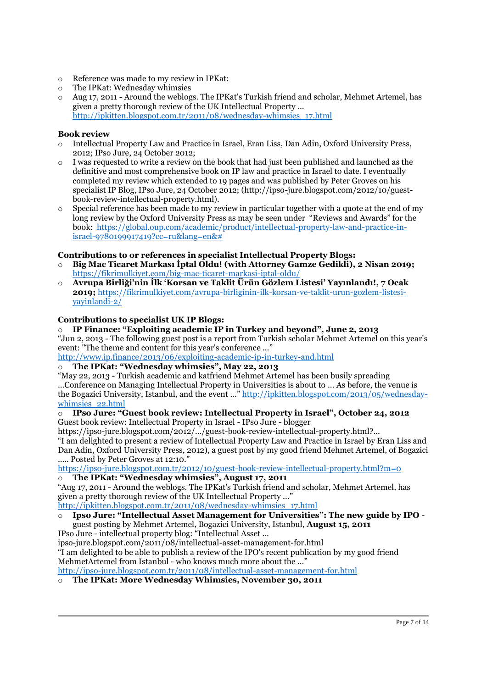- o Reference was made to my review in IPKat:
- o The IPKat: Wednesday whimsies
- o Aug 17, 2011 Around the weblogs. The IPKat's Turkish friend and scholar, Mehmet Artemel, has given a pretty thorough review of the UK Intellectual Property ... [http://ipkitten.blogspot.com.tr/2011/08/wednesday-whimsies\\_17.html](http://ipkitten.blogspot.com.tr/2011/08/wednesday-whimsies_17.html)

#### **Book review**

- o Intellectual Property Law and Practice in Israel, Eran Liss, Dan Adin, Oxford University Press, 2012; IPso Jure, 24 October 2012;
- I was requested to write a review on the book that had just been published and launched as the definitive and most comprehensive book on IP law and practice in Israel to date. I eventually completed my review which extended to 19 pages and was published by Peter Groves on his specialist IP Blog, IPso Jure, 24 October 2012; (http://ipso-jure.blogspot.com/2012/10/guestbook-review-intellectual-property.html).
- $\circ$  Special reference has been made to my review in particular together with a quote at the end of my long review by the Oxford University Press as may be seen under "Reviews and Awards" for the book: [https://global.oup.com/academic/product/intellectual-property-law-and-practice-in](https://global.oup.com/academic/product/intellectual-property-law-and-practice-in-israel-9780199917419?cc=ru&lang=en&)[israel-9780199917419?cc=ru&lang=en&#](https://global.oup.com/academic/product/intellectual-property-law-and-practice-in-israel-9780199917419?cc=ru&lang=en&)

#### **Contributions to or references in specialist Intellectual Property Blogs:**

- o **Big Mac Ticaret Markası İptal Oldu! (with Attorney Gamze Gedikli), 2 Nisan 2019;**  <https://fikrimulkiyet.com/big-mac-ticaret-markasi-iptal-oldu/>
- o **Avrupa Birliği'nin İlk 'Korsan ve Taklit Ürün Gözlem Listesi' Yayınlandı!, 7 Ocak 2019;** [https://fikrimulkiyet.com/avrupa-birliginin-ilk-korsan-ve-taklit-urun-gozlem-listesi](https://fikrimulkiyet.com/avrupa-birliginin-ilk-korsan-ve-taklit-urun-gozlem-listesi-yayinlandi-2/)[yayinlandi-2/](https://fikrimulkiyet.com/avrupa-birliginin-ilk-korsan-ve-taklit-urun-gozlem-listesi-yayinlandi-2/)

#### **Contributions to specialist UK IP Blogs:**

o **IP Finance: "Exploiting academic IP in Turkey and beyond", June 2, 2013** "Jun 2, 2013 - The following guest post is a report from Turkish scholar Mehmet Artemel on this year's event: "The theme and content for this year's conference ..."

<http://www.ip.finance/2013/06/exploiting-academic-ip-in-turkey-and.html>

o **The IPKat: "Wednesday whimsies", May 22, 2013** 

"May 22, 2013 - Turkish academic and katfriend Mehmet Artemel has been busily spreading ...Conference on Managing Intellectual Property in Universities is about to ... As before, the venue is the Bogazici University, Istanbul, and the event ..." [http://ipkitten.blogspot.com/2013/05/wednesday](http://ipkitten.blogspot.com/2013/05/wednesday-whimsies_22.html)whimsies 22.html

#### o **IPso Jure: "Guest book review: Intellectual Property in Israel", October 24, 2012** Guest book review: Intellectual Property in Israel - IPso Jure - blogger

https://ipso-jure.blogspot.com/2012/.../guest-book-review-intellectual-property.html?...

"I am delighted to present a review of Intellectual Property Law and Practice in Israel by Eran Liss and Dan Adin, Oxford University Press, 2012), a guest post by my good friend Mehmet Artemel, of Bogazici ..... Posted by Peter Groves at 12:10."

<https://ipso-jure.blogspot.com.tr/2012/10/guest-book-review-intellectual-property.html?m=0>

# o **The IPKat: "Wednesday whimsies", August 17, 2011**

"Aug 17, 2011 - Around the weblogs. The IPKat's Turkish friend and scholar, Mehmet Artemel, has given a pretty thorough review of the UK Intellectual Property ..." [http://ipkitten.blogspot.com.tr/2011/08/wednesday-whimsies\\_17.html](http://ipkitten.blogspot.com.tr/2011/08/wednesday-whimsies_17.html)

#### o **Ipso Jure: "Intellectual Asset Management for Universities": The new guide by IPO** guest posting by Mehmet Artemel, Bogazici University, Istanbul, **August 15, 2011**

IPso Jure - intellectual property blog: "Intellectual Asset ...

ipso-jure.blogspot.com/2011/08/intellectual-asset-management-for.html "I am delighted to be able to publish a review of the IPO's recent publication by my good friend MehmetArtemel from Istanbul - who knows much more about the ..."

<http://ipso-jure.blogspot.com.tr/2011/08/intellectual-asset-management-for.html>

o **The IPKat: More Wednesday Whimsies, November 30, 2011**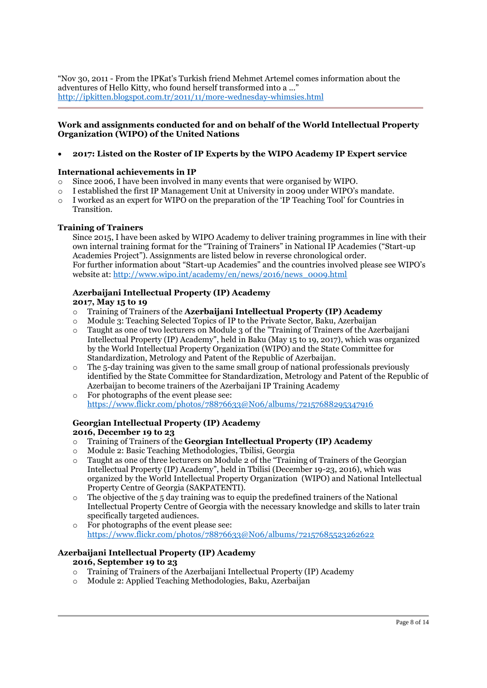"Nov 30, 2011 - From the IPKat's Turkish friend Mehmet Artemel comes information about the adventures of Hello Kitty, who found herself transformed into a ..." <http://ipkitten.blogspot.com.tr/2011/11/more-wednesday-whimsies.html>

#### **Work and assignments conducted for and on behalf of the World Intellectual Property Organization (WIPO) of the United Nations**

## **2017: Listed on the Roster of IP Experts by the WIPO Academy IP Expert service**

#### **International achievements in IP**

- Since 2006, I have been involved in many events that were organised by WIPO.
- o I established the first IP Management Unit at University in 2009 under WIPO's mandate.
- o I worked as an expert for WIPO on the preparation of the 'IP Teaching Tool' for Countries in Transition.

#### **Training of Trainers**

Since 2015, I have been asked by WIPO Academy to deliver training programmes in line with their own internal training format for the "Training of Trainers" in National IP Academies ("Start-up Academies Project"). Assignments are listed below in reverse chronological order. For further information about "Start-up Academies" and the countries involved please see WIPO's website at[: http://www.wipo.int/academy/en/news/2016/news\\_0009.html](http://www.wipo.int/academy/en/news/2016/news_0009.html)

# **Azerbaijani Intellectual Property (IP) Academy**

#### **2017, May 15 to 19**

- o Training of Trainers of the **Azerbaijani Intellectual Property (IP) Academy**
- Module 3: Teaching Selected Topics of IP to the Private Sector, Baku, Azerbaijan
- o Taught as one of two lecturers on Module 3 of the "Training of Trainers of the Azerbaijani Intellectual Property (IP) Academy", held in Baku (May 15 to 19, 2017), which was organized by the World Intellectual Property Organization (WIPO) and the State Committee for Standardization, Metrology and Patent of the Republic of Azerbaijan.
- $\circ$  The 5-day training was given to the same small group of national professionals previously identified by the State Committee for Standardization, Metrology and Patent of the Republic of Azerbaijan to become trainers of the Azerbaijani IP Training Academy
- o For photographs of the event please see: <https://www.flickr.com/photos/78876633@N06/albums/72157688295347916>

# **Georgian Intellectual Property (IP) Academy**

#### **2016, December 19 to 23**

- o Training of Trainers of the **Georgian Intellectual Property (IP) Academy**
- o Module 2: Basic Teaching Methodologies, Tbilisi, Georgia
- o Taught as one of three lecturers on Module 2 of the "Training of Trainers of the Georgian Intellectual Property (IP) Academy", held in Tbilisi (December 19-23, 2016), which was organized by the World Intellectual Property Organization (WIPO) and National Intellectual Property Centre of Georgia (SAKPATENTI).
- The objective of the 5 day training was to equip the predefined trainers of the National Intellectual Property Centre of Georgia with the necessary knowledge and skills to later train specifically targeted audiences.
- o For photographs of the event please see: <https://www.flickr.com/photos/78876633@N06/albums/72157685523262622>

# **Azerbaijani Intellectual Property (IP) Academy**

#### **2016, September 19 to 23**

- o Training of Trainers of the Azerbaijani Intellectual Property (IP) Academy
- o Module 2: Applied Teaching Methodologies, Baku, Azerbaijan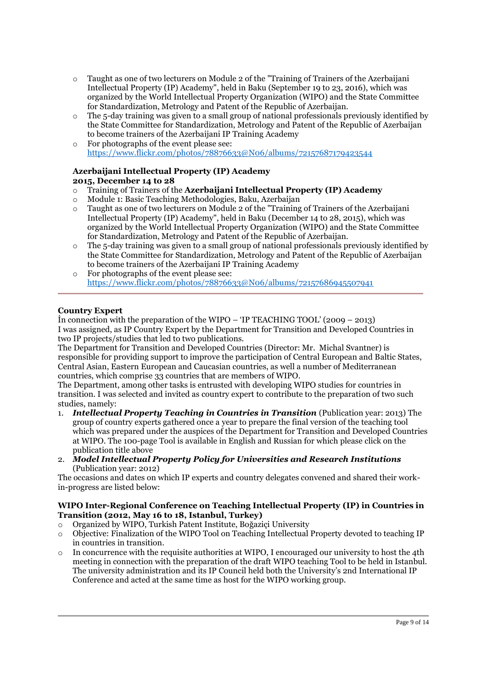- $\circ$  Taught as one of two lecturers on Module 2 of the "Training of Trainers of the Azerbaijani Intellectual Property (IP) Academy", held in Baku (September 19 to 23, 2016), which was organized by the World Intellectual Property Organization (WIPO) and the State Committee for Standardization, Metrology and Patent of the Republic of Azerbaijan.
- o The 5-day training was given to a small group of national professionals previously identified by the State Committee for Standardization, Metrology and Patent of the Republic of Azerbaijan to become trainers of the Azerbaijani IP Training Academy
- o For photographs of the event please see: <https://www.flickr.com/photos/78876633@N06/albums/72157687179423544>

#### **Azerbaijani Intellectual Property (IP) Academy 2015, December 14 to 28**

- o Training of Trainers of the **Azerbaijani Intellectual Property (IP) Academy**
- o Module 1: Basic Teaching Methodologies, Baku, Azerbaijan
- o Taught as one of two lecturers on Module 2 of the "Training of Trainers of the Azerbaijani Intellectual Property (IP) Academy", held in Baku (December 14 to 28, 2015), which was organized by the World Intellectual Property Organization (WIPO) and the State Committee for Standardization, Metrology and Patent of the Republic of Azerbaijan.
- $\circ$  The 5-day training was given to a small group of national professionals previously identified by the State Committee for Standardization, Metrology and Patent of the Republic of Azerbaijan to become trainers of the Azerbaijani IP Training Academy
- o For photographs of the event please see: <https://www.flickr.com/photos/78876633@N06/albums/72157686945507941>

# **Country Expert**

İn connection with the preparation of the WIPO – 'IP TEACHING TOOL' (2009 – 2013) I was assigned, as IP Country Expert by the Department for Transition and Developed Countries in two IP projects/studies that led to two publications.

The Department for Transition and Developed Countries (Director: Mr. Michal Svantner) is responsible for providing support to improve the participation of Central European and Baltic States, Central Asian, Eastern European and Caucasian countries, as well a number of Mediterranean countries, which comprise 33 countries that are members of WIPO.

The Department, among other tasks is entrusted with developing WIPO studies for countries in transition. I was selected and invited as country expert to contribute to the preparation of two such studies, namely:

- 1. *Intellectual Property Teaching in Countries in Transition* (Publication year: 2013) The group of country experts gathered once a year to prepare the final version of the teaching tool which was prepared under the auspices of the Department for Transition and Developed Countries at WIPO. The 100-page Tool is available in English and Russian for which please click on the publication title above
- 2. *Model Intellectual Property Policy for Universities and Research Institutions* (Publication year: 2012)

The occasions and dates on which IP experts and country delegates convened and shared their workin-progress are listed below:

#### **WIPO Inter-Regional Conference on Teaching Intellectual Property (IP) in Countries in Transition (2012, May 16 to 18, Istanbul, Turkey)**

- o Organized by WIPO, Turkish Patent Institute, Boğaziçi University
- o Objective: Finalization of the WIPO Tool on Teaching Intellectual Property devoted to teaching IP in countries in transition.
- $\circ$  In concurrence with the requisite authorities at WIPO, I encouraged our university to host the 4th meeting in connection with the preparation of the draft WIPO teaching Tool to be held in Istanbul. The university administration and its IP Council held both the University's 2nd International IP Conference and acted at the same time as host for the WIPO working group.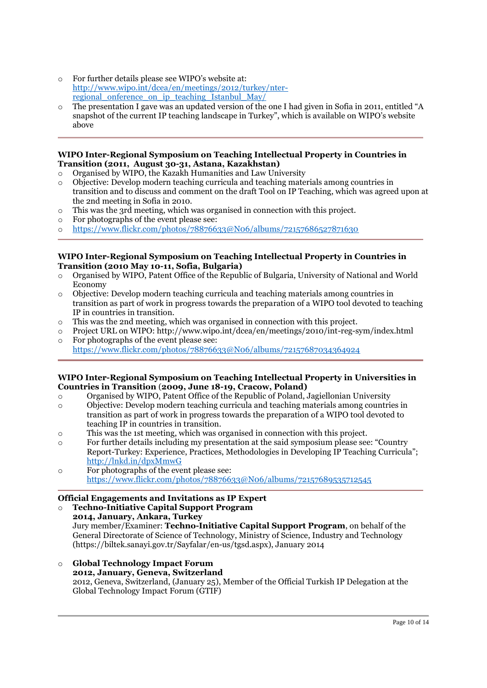- o For further details please see WIPO's website at: [http://www.wipo.int/dcea/en/meetings/2012/turkey/nter](http://www.wipo.int/dcea/en/meetings/2012/turkey/nter-regional_onference_on_ip_teaching_Istanbul_May/)regional onference on ip teaching Istanbul May/
- o The presentation I gave was an updated version of the one I had given in Sofia in 2011, entitled "A snapshot of the current IP teaching landscape in Turkey", which is available on WIPO's website above

#### **WIPO Inter-Regional Symposium on Teaching Intellectual Property in Countries in Transition (2011, August 30-31, Astana, Kazakhstan)**

- o Organised by WIPO, the Kazakh Humanities and Law University
- o Objective: Develop modern teaching curricula and teaching materials among countries in transition and to discuss and comment on the draft Tool on IP Teaching, which was agreed upon at the 2nd meeting in Sofia in 2010.
- o This was the 3rd meeting, which was organised in connection with this project.
- o For photographs of the event please see:
- o <https://www.flickr.com/photos/78876633@N06/albums/72157686527871630>

#### **WIPO Inter-Regional Symposium on Teaching Intellectual Property in Countries in Transition (2010 May 10-11, Sofia, Bulgaria)**

- o Organised by WIPO, Patent Office of the Republic of Bulgaria, University of National and World Economy
- o Objective: Develop modern teaching curricula and teaching materials among countries in transition as part of work in progress towards the preparation of a WIPO tool devoted to teaching IP in countries in transition.
- o This was the 2nd meeting, which was organised in connection with this project.
- o Project URL on WIPO: http://www.wipo.int/dcea/en/meetings/2010/int-reg-sym/index.html
- o For photographs of the event please see: <https://www.flickr.com/photos/78876633@N06/albums/72157687034364924>

#### **WIPO Inter-Regional Symposium on Teaching Intellectual Property in Universities in Countries in Transition** (**2009, June 18-19, Cracow, Poland)**

- o Organised by WIPO, Patent Office of the Republic of Poland, Jagiellonian University
- o Objective: Develop modern teaching curricula and teaching materials among countries in transition as part of work in progress towards the preparation of a WIPO tool devoted to teaching IP in countries in transition.
- o This was the 1st meeting, which was organised in connection with this project.
- o For further details including my presentation at the said symposium please see: "Country Report-Turkey: Experience, Practices, Methodologies in Developing IP Teaching Curricula"; <http://lnkd.in/dpxMmwG>
- o For photographs of the event please see: <https://www.flickr.com/photos/78876633@N06/albums/72157689535712545>

#### **Official Engagements and Invitations as IP Expert**

o **Techno-Initiative Capital Support Program 2014, January, Ankara, Turkey** Jury member/Examiner: **Techno-Initiative Capital Support Program**, on behalf of the General Directorate of Science of Technology, Ministry of Science, Industry and Technology (https://biltek.sanayi.gov.tr/Sayfalar/en-us/tgsd.aspx), January 2014

o **Global Technology Impact Forum 2012, January, Geneva, Switzerland** 2012, Geneva, Switzerland, (January 25), Member of the Official Turkish IP Delegation at the Global Technology Impact Forum (GTIF)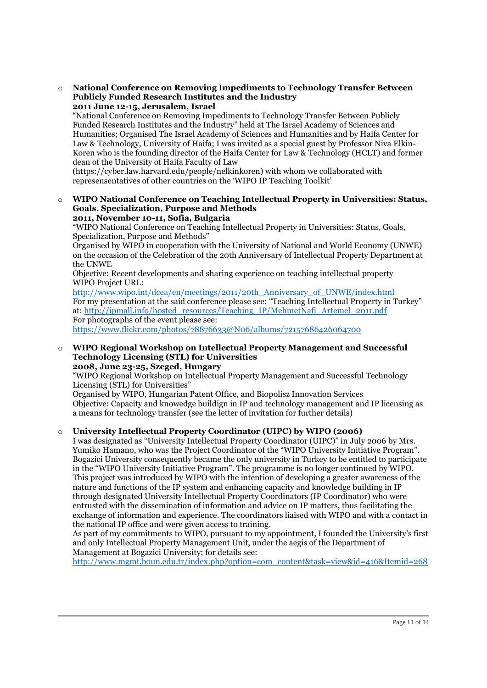o **National Conference on Removing Impediments to Technology Transfer Between Publicly Funded Research Institutes and the Industry 2011 June 12-15, Jerusalem, Israel**

"National Conference on Removing Impediments to Technology Transfer Between Publicly Funded Research Institutes and the Industry" held at The Israel Academy of Sciences and Humanities; Organised The Israel Academy of Sciences and Humanities and by Haifa Center for Law & Technology, University of Haifa; I was invited as a special guest by Professor Niva Elkin-Koren who is the founding director of the Haifa Center for Law & Technology (HCLT) and former dean of the University of Haifa Faculty of Law

(https://cyber.law.harvard.edu/people/nelkinkoren) with whom we collaborated with represensentatives of other countries on the 'WIPO IP Teaching Toolkit'

o **WIPO National Conference on Teaching Intellectual Property in Universities: Status, Goals, Specialization, Purpose and Methods 2011, November 10-11, Sofia, Bulgaria**

"WIPO National Conference on Teaching Intellectual Property in Universities: Status, Goals, Specialization, Purpose and Methods"

Organised by WIPO in cooperation with the University of National and World Economy (UNWE) on the occasion of the Celebration of the 20th Anniversary of Intellectual Property Department at the UNWE

Objective: Recent developments and sharing experience on teaching intellectual property WIPO Project URL:

[http://www.wipo.int/dcea/en/meetings/2011/20th\\_Anniversary\\_of\\_UNWE/index.html](http://www.wipo.int/dcea/en/meetings/2011/20th_Anniversary_of_UNWE/index.html) For my presentation at the said conference please see: "Teaching Intellectual Property in Turkey" at: [http://ipmall.info/hosted\\_resources/Teaching\\_IP/MehmetNafi\\_Artemel\\_2011.pdf](http://ipmall.info/hosted_resources/Teaching_IP/MehmetNafi_Artemel_2011.pdf) For photographs of the event please see:

<https://www.flickr.com/photos/78876633@N06/albums/72157686426064700>

#### o **WIPO Regional Workshop on Intellectual Property Management and Successful Technology Licensing (STL) for Universities 2008, June 23-25, Szeged, Hungary**

"WIPO Regional Workshop on Intellectual Property Management and Successful Technology Licensing (STL) for Universities"

Organised by WIPO, Hungarian Patent Office, and Biopolisz Innovation Services Objective: Capacity and knowedge buildign in IP and technology management and IP licensing as a means for technology transfer (see the letter of invitation for further details)

#### o **University Intellectual Property Coordinator (UIPC) by WIPO (2006)**

I was designated as "University Intellectual Property Coordinator (UIPC)" in July 2006 by Mrs. Yumiko Hamano, who was the Project Coordinator of the "WIPO University Initiative Program". Bogazici University consequently became the only university in Turkey to be entitled to participate in the "WIPO University Initiative Program". The programme is no longer continued by WIPO. This project was introduced by WIPO with the intention of developing a greater awareness of the nature and functions of the IP system and enhancing capacity and knowledge building in IP through designated University Intellectual Property Coordinators (IP Coordinator) who were entrusted with the dissemination of information and advice on IP matters, thus facilitating the exchange of information and experience. The coordinators liaised with WIPO and with a contact in the national IP office and were given access to training.

As part of my commitments to WIPO, pursuant to my appointment, I founded the University's first and only Intellectual Property Management Unit, under the aegis of the Department of Management at Bogazici University; for details see:

[http://www.mgmt.boun.edu.tr/index.php?option=com\\_content&task=view&id=416&Itemid=268](http://www.mgmt.boun.edu.tr/index.php?option=com_content&task=view&id=416&Itemid=268)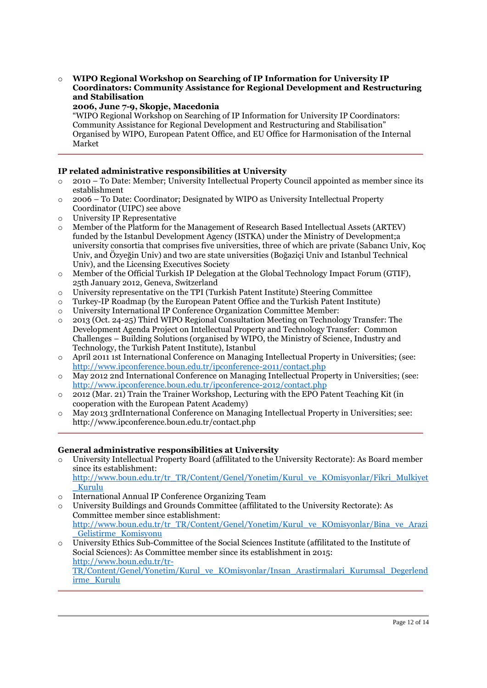#### o **WIPO Regional Workshop on Searching of IP Information for University IP Coordinators: Community Assistance for Regional Development and Restructuring and Stabilisation**

#### **2006, June 7-9, Skopje, Macedonia**

"WIPO Regional Workshop on Searching of IP Information for University IP Coordinators: Community Assistance for Regional Development and Restructuring and Stabilisation" Organised by WIPO, European Patent Office, and EU Office for Harmonisation of the Internal Market

#### **IP related administrative responsibilities at University**

- o 2010 To Date: Member; University Intellectual Property Council appointed as member since its establishment
- o 2006 To Date: Coordinator; Designated by WIPO as University Intellectual Property Coordinator (UIPC) see above
- o University IP Representative
- o Member of the Platform for the Management of Research Based Intellectual Assets (ARTEV) funded by the Istanbul Development Agency (ISTKA) under the Ministry of Development;a university consortia that comprises five universities, three of which are private (Sabancı Univ, Koç Univ, and Özyeğin Univ) and two are state universities (Boğaziçi Univ and Istanbul Technical Univ), and the Licensing Executives Society
- o Member of the Official Turkish IP Delegation at the Global Technology Impact Forum (GTIF), 25th January 2012, Geneva, Switzerland
- o University representative on the TPI (Turkish Patent Institute) Steering Committee
- o Turkey-IP Roadmap (by the European Patent Office and the Turkish Patent Institute)
- o University International IP Conference Organization Committee Member:
- o 2013 (Oct. 24-25) Third WIPO Regional Consultation Meeting on Technology Transfer: The Development Agenda Project on Intellectual Property and Technology Transfer: Common Challenges – Building Solutions (organised by WIPO, the Ministry of Science, Industry and Technology, the Turkish Patent Institute), Istanbul
- o April 2011 1st International Conference on Managing Intellectual Property in Universities; (see: <http://www.ipconference.boun.edu.tr/ipconference-2011/contact.php>
- o May 2012 2nd International Conference on Managing Intellectual Property in Universities; (see: <http://www.ipconference.boun.edu.tr/ipconference-2012/contact.php>
- o 2012 (Mar. 21) Train the Trainer Workshop, Lecturing with the EPO Patent Teaching Kit (in cooperation with the European Patent Academy)
- o May 2013 3rdInternational Conference on Managing Intellectual Property in Universities; see: http://www.ipconference.boun.edu.tr/contact.php

#### **General administrative responsibilities at University**

- o University Intellectual Property Board (affilitated to the University Rectorate): As Board member since its establishment: [http://www.boun.edu.tr/tr\\_TR/Content/Genel/Yonetim/Kurul\\_ve\\_KOmisyonlar/Fikri\\_Mulkiyet](http://www.boun.edu.tr/tr_TR/Content/Genel/Yonetim/Kurul_ve_KOmisyonlar/Fikri_Mulkiyet_Kurulu) [\\_Kurulu](http://www.boun.edu.tr/tr_TR/Content/Genel/Yonetim/Kurul_ve_KOmisyonlar/Fikri_Mulkiyet_Kurulu)
- o International Annual IP Conference Organizing Team
- o University Buildings and Grounds Committee (affilitated to the University Rectorate): As Committee member since establishment: [http://www.boun.edu.tr/tr\\_TR/Content/Genel/Yonetim/Kurul\\_ve\\_KOmisyonlar/Bina\\_ve\\_Arazi](http://www.boun.edu.tr/tr_TR/Content/Genel/Yonetim/Kurul_ve_KOmisyonlar/Bina_ve_Arazi_Gelistirme_Komisyonu) [\\_Gelistirme\\_Komisyonu](http://www.boun.edu.tr/tr_TR/Content/Genel/Yonetim/Kurul_ve_KOmisyonlar/Bina_ve_Arazi_Gelistirme_Komisyonu)
- o University Ethics Sub-Committee of the Social Sciences Institute (affilitated to the Institute of Social Sciences): As Committee member since its establishment in 2015: [http://www.boun.edu.tr/tr-](http://www.boun.edu.tr/tr-TR/Content/Genel/Yonetim/Kurul_ve_KOmisyonlar/Insan_Arastirmalari_Kurumsal_Degerlendirme_Kurulu)[TR/Content/Genel/Yonetim/Kurul\\_ve\\_KOmisyonlar/Insan\\_Arastirmalari\\_Kurumsal\\_Degerlend](http://www.boun.edu.tr/tr-TR/Content/Genel/Yonetim/Kurul_ve_KOmisyonlar/Insan_Arastirmalari_Kurumsal_Degerlendirme_Kurulu) [irme\\_Kurulu](http://www.boun.edu.tr/tr-TR/Content/Genel/Yonetim/Kurul_ve_KOmisyonlar/Insan_Arastirmalari_Kurumsal_Degerlendirme_Kurulu)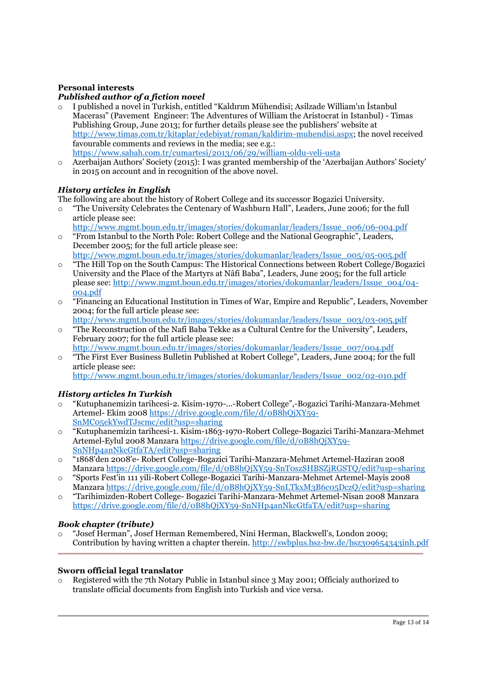# **Personal interests**

## *Published author of a fiction novel*

- o I published a novel in Turkish, entitled "Kaldırım Mühendisi; Asilzade William'ın İstanbul Macerası" (Pavement Engineer: The Adventures of William the Aristocrat in Istanbul) - Timas Publishing Group, June 2013; for further details please see the publishers' website at [http://www.timas.com.tr/kitaplar/edebiyat/roman/kaldirim-muhendisi.aspx;](http://www.timas.com.tr/kitaplar/edebiyat/roman/kaldirim-muhendisi.aspx) the novel received favourable comments and reviews in the media; see e.g.: <https://www.sabah.com.tr/cumartesi/2013/06/29/william-oldu-veli-usta>
- Azerbaijan Authors' Society (2015): I was granted membership of the 'Azerbaijan Authors' Society' in 2015 on account and in recognition of the above novel.

# *History articles in English*

The following are about the history of Robert College and its successor Bogazici University.

- "The University Celebrates the Centenary of Washburn Hall", Leaders, June 2006; for the full article please see:
- [http://www.mgmt.boun.edu.tr/images/stories/dokumanlar/leaders/Issue\\_006/06-004.pdf](http://www.mgmt.boun.edu.tr/images/stories/dokumanlar/leaders/Issue_006/06-004.pdf) o "From Istanbul to the North Pole: Robert College and the National Geographic", Leaders,
- December 2005; for the full article please see: [http://www.mgmt.boun.edu.tr/images/stories/dokumanlar/leaders/Issue\\_005/05-005.pdf](http://www.mgmt.boun.edu.tr/images/stories/dokumanlar/leaders/Issue_005/05-005.pdf) o "The Hill Top on the South Campus: The Historical Connections between Robert College/Bogazici
- University and the Place of the Martyrs at Nâfi Baba", Leaders, June 2005; for the full article please see: [http://www.mgmt.boun.edu.tr/images/stories/dokumanlar/leaders/Issue\\_004/04-](http://www.mgmt.boun.edu.tr/images/stories/dokumanlar/leaders/Issue_004/04-004.pdf) [004.pdf](http://www.mgmt.boun.edu.tr/images/stories/dokumanlar/leaders/Issue_004/04-004.pdf)
- o "Financing an Educational Institution in Times of War, Empire and Republic", Leaders, November 2004; for the full article please see:
	- [http://www.mgmt.boun.edu.tr/images/stories/dokumanlar/leaders/Issue\\_003/03-005.pdf](http://www.mgmt.boun.edu.tr/images/stories/dokumanlar/leaders/Issue_003/03-005.pdf)
- o "The Reconstruction of the Nafi Baba Tekke as a Cultural Centre for the University", Leaders, February 2007; for the full article please see: [http://www.mgmt.boun.edu.tr/images/stories/dokumanlar/leaders/Issue\\_007/004.pdf](http://www.mgmt.boun.edu.tr/images/stories/dokumanlar/leaders/Issue_007/004.pdf)
- o "The First Ever Business Bulletin Published at Robert College", Leaders, June 2004; for the full article please see: [http://www.mgmt.boun.edu.tr/images/stories/dokumanlar/leaders/Issue\\_002/02-010.pdf](http://www.mgmt.boun.edu.tr/images/stories/dokumanlar/leaders/Issue_002/02-010.pdf)

# *History articles In Turkish*

- o "Kutuphanemizin tarihcesi-2. Kisim-1970-...-Robert College",-Bogazici Tarihi-Manzara-Mehmet Artemel- Ekim 2008 [https://drive.google.com/file/d/0B8hQjXY59-](https://drive.google.com/file/d/0B8hQjXY59-SnMC05ekYwdTJscmc/edit?usp=sharing) [SnMC05ekYwdTJscmc/edit?usp=sharing](https://drive.google.com/file/d/0B8hQjXY59-SnMC05ekYwdTJscmc/edit?usp=sharing)
- o "Kutuphanemizin tarihcesi-1. Kisim-1863-1970-Robert College-Bogazici Tarihi-Manzara-Mehmet Artemel-Eylul 2008 Manzara [https://drive.google.com/file/d/0B8hQjXY59-](https://drive.google.com/file/d/0B8hQjXY59-SnNHp4anNkcGtfaTA/edit?usp=sharing) [SnNHp4anNkcGtfaTA/edit?usp=sharing](https://drive.google.com/file/d/0B8hQjXY59-SnNHp4anNkcGtfaTA/edit?usp=sharing)
- o "1868'den 2008'e- Robert College-Bogazici Tarihi-Manzara-Mehmet Artemel-Haziran 2008 Manzara<https://drive.google.com/file/d/0B8hQjXY59-SnT0szSHBSZjRGSTQ/edit?usp=sharing>
- o "Sports Fest'in 111 yili-Robert College-Bogazici Tarihi-Manzara-Mehmet Artemel-Mayis 2008 Manzara<https://drive.google.com/file/d/0B8hQjXY59-SnLTkxM3B6c05DczQ/edit?usp=sharing>
- o "Tarihimizden-Robert College- Bogazici Tarihi-Manzara-Mehmet Artemel-Nisan 2008 Manzara <https://drive.google.com/file/d/0B8hQjXY59-SnNHp4anNkcGtfaTA/edit?usp=sharing>

#### *Book chapter (tribute)*

"Josef Herman", Josef Herman Remembered, Nini Herman, Blackwell's, London 2009; Contribution by having written a chapter therein. <http://swbplus.bsz-bw.de/bsz309654343inh.pdf>

#### **Sworn official legal translator**

Registered with the 7th Notary Public in Istanbul since 3 May 2001; Officialy authorized to translate official documents from English into Turkish and vice versa.